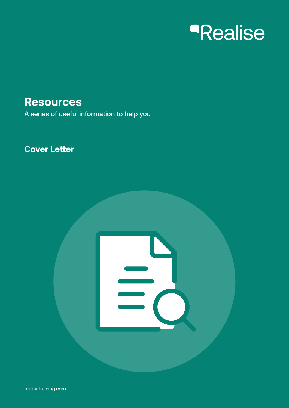# *<u>Realise</u>*

**Resources**

A series of useful information to help you

# **Cover Letter**

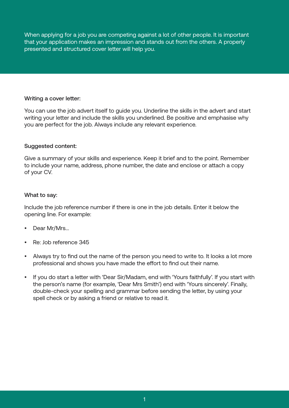When applying for a job you are competing against a lot of other people. It is important that your application makes an impression and stands out from the others. A properly presented and structured cover letter will help you.

#### Writing a cover letter:

You can use the job advert itself to guide you. Underline the skills in the advert and start writing your letter and include the skills you underlined. Be positive and emphasise why you are perfect for the job. Always include any relevant experience.

### Suggested content:

Give a summary of your skills and experience. Keep it brief and to the point. Remember to include your name, address, phone number, the date and enclose or attach a copy of your CV.

#### What to say:

Include the job reference number if there is one in the job details. Enter it below the opening line. For example:

- Dear Mr/Mrs...
- Re: Job reference 345
- Always try to find out the name of the person you need to write to. It looks a lot more professional and shows you have made the effort to find out their name.
- If you do start a letter with 'Dear Sir/Madam, end with 'Yours faithfully'. If you start with the person's name (for example, 'Dear Mrs Smith') end with 'Yours sincerely'. Finally, double-check your spelling and grammar before sending the letter, by using your spell check or by asking a friend or relative to read it.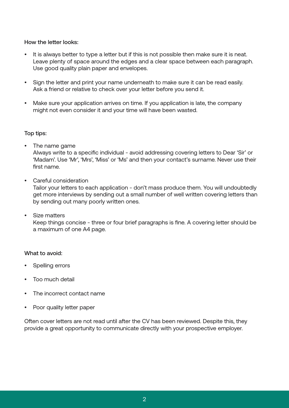# How the letter looks:

- It is always better to type a letter but if this is not possible then make sure it is neat. Leave plenty of space around the edges and a clear space between each paragraph. Use good quality plain paper and envelopes.
- Sign the letter and print your name underneath to make sure it can be read easily. Ask a friend or relative to check over your letter before you send it.
- Make sure your application arrives on time. If you application is late, the company might not even consider it and your time will have been wasted.

## Top tips:

- The name game Always write to a specific individual - avoid addressing covering letters to Dear 'Sir' or 'Madam'. Use 'Mr', 'Mrs', 'Miss' or 'Ms' and then your contact's surname. Never use their first name.
- Careful consideration

Tailor your letters to each application - don't mass produce them. You will undoubtedly get more interviews by sending out a small number of well written covering letters than by sending out many poorly written ones.

• Size matters Keep things concise - three or four brief paragraphs is fine. A covering letter should be a maximum of one A4 page.

## What to avoid:

- Spelling errors
- Too much detail
- The incorrect contact name
- Poor quality letter paper

Often cover letters are not read until after the CV has been reviewed. Despite this, they provide a great opportunity to communicate directly with your prospective employer.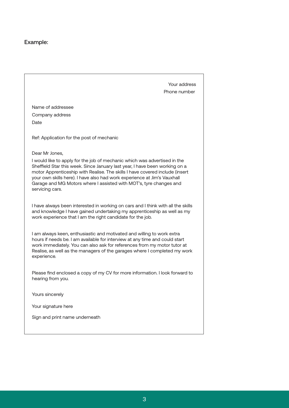#### Example:

Company address

Dear Mr Jones,

servicing cars.

Date

Your address Phone number Name of addressee Ref: Application for the post of mechanic I would like to apply for the job of mechanic which was advertised in the Sheffield Star this week. Since January last year, I have been working on a motor Apprenticeship with Realise. The skills I have covered include (insert your own skills here). I have also had work experience at Jim's Vauxhall Garage and MG Motors where I assisted with MOT's, tyre changes and I have always been interested in working on cars and I think with all the skills and knowledge I have gained undertaking my apprenticeship as well as my work experience that I am the right candidate for the job. I am always keen, enthusiastic and motivated and willing to work extra

hours if needs be. I am available for interview at any time and could start work immediately. You can also ask for references from my motor tutor at Realise, as well as the managers of the garages where I completed my work experience.

Please find enclosed a copy of my CV for more information. I look forward to hearing from you.

Yours sincerely

Your signature here

Sign and print name underneath